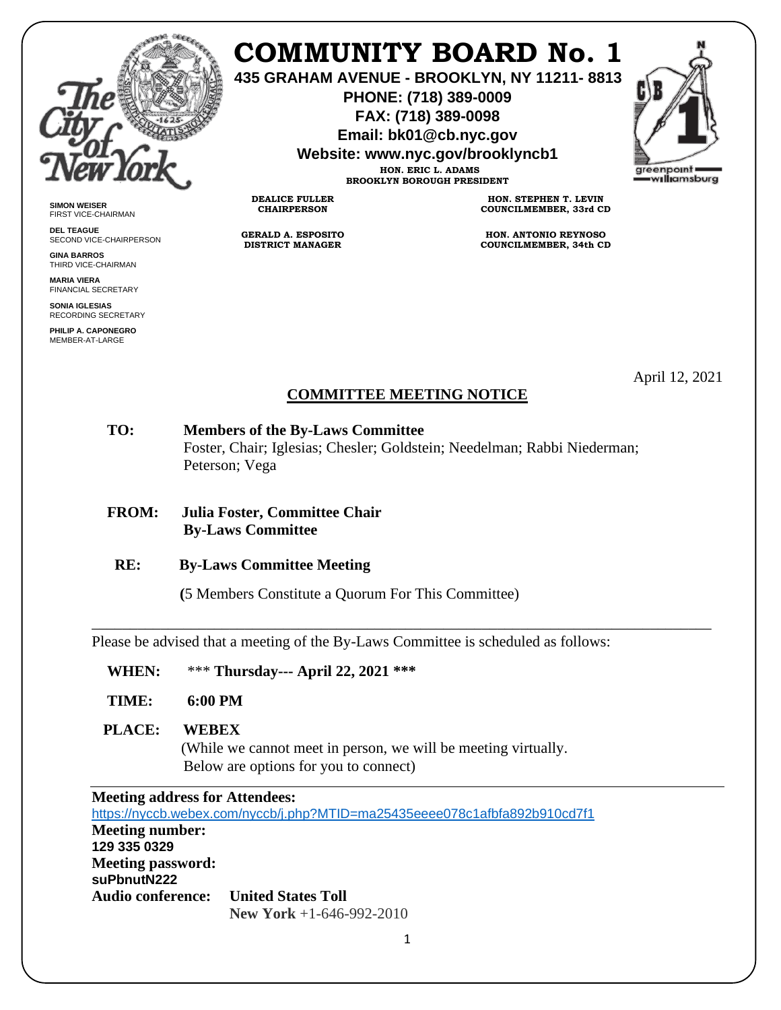

**SIMON WEISER** FIRST VICE-CHAIRMAN **DEL TEAGUE**

**GINA BARROS** THIRD VICE-CHAIRMAN **MARIA VIERA** FINANCIAL SECRETARY **SONIA IGLESIAS** RECORDING SECRETARY **PHILIP A. CAPONEGRO** MEMBER-AT-LARGE

SECOND VICE-CHAIRPERSON

# **COMMUNITY BOARD No. 1**

**435 GRAHAM AVENUE - BROOKLYN, NY 11211- 8813**

**PHONE: (718) 389-0009 FAX: (718) 389-0098**

**Email: bk01@cb.nyc.gov**

**Website: www.nyc.gov/brooklyncb1**

**HON. ERIC L. ADAMS BROOKLYN BOROUGH PRESIDENT** greenpoint williamsburg

**DEALICE FULLER CHAIRPERSON**

**GERALD A. ESPOSITO DISTRICT MANAGER**

**HON. STEPHEN T. LEVIN COUNCILMEMBER, 33rd CD**

**HON. ANTONIO REYNOSO COUNCILMEMBER, 34th CD**

April 12, 2021

## **COMMITTEE MEETING NOTICE**

- **TO: Members of the By-Laws Committee** Foster, Chair; Iglesias; Chesler; Goldstein; Needelman; Rabbi Niederman; Peterson; Vega
- **FROM: Julia Foster, Committee Chair By-Laws Committee**
- **RE: By-Laws Committee Meeting**
	- **(**5 Members Constitute a Quorum For This Committee)

Please be advised that a meeting of the By-Laws Committee is scheduled as follows:

- **WHEN:** \*\*\* **Thursday--- April 22, 2021 \*\*\***
- **TIME: 6:00 PM**

#### **PLACE: WEBEX**

(While we cannot meet in person, we will be meeting virtually. Below are options for you to connect)

\_\_\_\_\_\_\_\_\_\_\_\_\_\_\_\_\_\_\_\_\_\_\_\_\_\_\_\_\_\_\_\_\_\_\_\_\_\_\_\_\_\_\_\_\_\_\_\_\_\_\_\_\_\_\_\_\_\_\_\_\_\_\_\_\_\_\_\_\_\_\_\_\_\_\_\_\_\_\_\_\_

| <b>Meeting address for Attendees:</b>       |                                                                            |
|---------------------------------------------|----------------------------------------------------------------------------|
|                                             | https://nyccb.webex.com/nyccb/j.php?MTID=ma25435eeee078c1afbfa892b910cd7f1 |
| <b>Meeting number:</b>                      |                                                                            |
| 129 335 0329                                |                                                                            |
| <b>Meeting password:</b><br>suPbnutN222     |                                                                            |
| <b>Audio conference:</b> United States Toll |                                                                            |
|                                             | New York $+1-646-992-2010$                                                 |